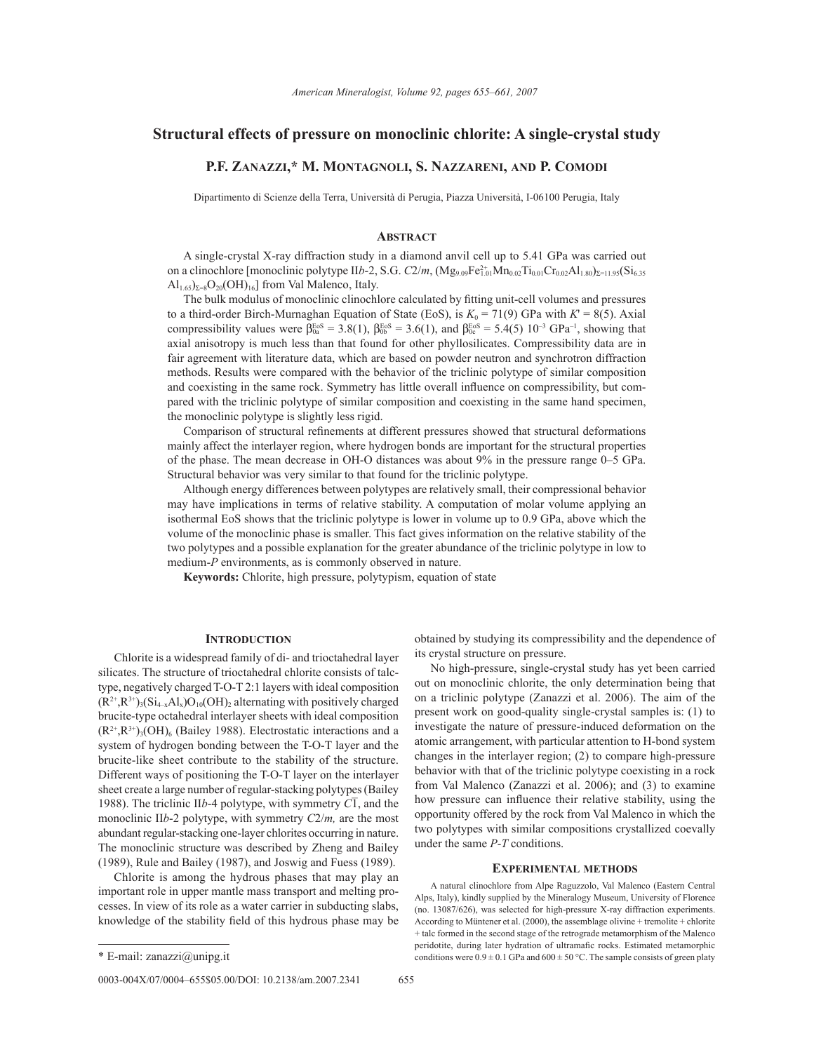# **Structural effects of pressure on monoclinic chlorite: A single-crystal study**

## **P.F. ZANAZZI,\* M. MONTAGNOLI, S. NAZZARENI, AND P. COMODI**

Dipartimento di Scienze della Terra, Università di Perugia, Piazza Università, I-06100 Perugia, Italy

#### **ABSTRACT**

A single-crystal X-ray diffraction study in a diamond anvil cell up to 5.41 GPa was carried out on a clinochlore [monoclinic polytype IIb-2, S.G. *C*2/*m*, (Mg<sub>9.09</sub>Fe<sup>2+</sup><sub>01</sub>Mn<sub>0.02</sub>Ti<sub>0.01</sub>Cr<sub>0.02</sub>Al<sub>1.80</sub>)<sub>Σ=11.95</sub>(Si<sub>6.35</sub>)  $\text{Al}_{1.65}$ )<sub>Σ=8</sub>O<sub>20</sub>(OH)<sub>16</sub>] from Val Malenco, Italy.

The bulk modulus of monoclinic clinochlore calculated by fitting unit-cell volumes and pressures to a third-order Birch-Murnaghan Equation of State (EoS), is  $K_0 = 71(9)$  GPa with  $K' = 8(5)$ . Axial compressibility values were  $\beta_{0a}^{EoS} = 3.8(1)$ ,  $\beta_{0b}^{EoS} = 3.6(1)$ , and  $\beta_{0c}^{EoS} = 5.4(5) 10^{-3} GPa^{-1}$ , showing that axial anisotropy is much less than that found for other phyllosilicates. Compressibility data are in fair agreement with literature data, which are based on powder neutron and synchrotron diffraction methods. Results were compared with the behavior of the triclinic polytype of similar composition and coexisting in the same rock. Symmetry has little overall influence on compressibility, but compared with the triclinic polytype of similar composition and coexisting in the same hand specimen, the monoclinic polytype is slightly less rigid.

Comparison of structural refinements at different pressures showed that structural deformations mainly affect the interlayer region, where hydrogen bonds are important for the structural properties of the phase. The mean decrease in OH-O distances was about 9% in the pressure range 0–5 GPa. Structural behavior was very similar to that found for the triclinic polytype.

Although energy differences between polytypes are relatively small, their compressional behavior may have implications in terms of relative stability. A computation of molar volume applying an isothermal EoS shows that the triclinic polytype is lower in volume up to 0.9 GPa, above which the volume of the monoclinic phase is smaller. This fact gives information on the relative stability of the two polytypes and a possible explanation for the greater abundance of the triclinic polytype in low to medium-*P* environments, as is commonly observed in nature.

**Keywords:** Chlorite, high pressure, polytypism, equation of state

#### **INTRODUCTION**

Chlorite is a widespread family of di- and trioctahedral layer silicates. The structure of trioctahedral chlorite consists of talctype, negatively charged T-O-T 2:1 layers with ideal composition  $(R^{2+}, R^{3+})$ <sub>3</sub> $(Si_{4-x}Al_x)O_{10}(OH)$ <sub>2</sub> alternating with positively charged brucite-type octahedral interlayer sheets with ideal composition  $(R^{2+}, R^{3+})_3(OH)_6$  (Bailey 1988). Electrostatic interactions and a system of hydrogen bonding between the T-O-T layer and the brucite-like sheet contribute to the stability of the structure. Different ways of positioning the T-O-T layer on the interlayer sheet create a large number of regular-stacking polytypes (Bailey 1988). The triclinic II*b*-4 polytype, with symmetry  $C\overline{I}$ , and the monoclinic II*b*-2 polytype, with symmetry *C*2/*m,* are the most abundant regular-stacking one-layer chlorites occurring in nature. The monoclinic structure was described by Zheng and Bailey (1989), Rule and Bailey (1987), and Joswig and Fuess (1989).

Chlorite is among the hydrous phases that may play an important role in upper mantle mass transport and melting processes. In view of its role as a water carrier in subducting slabs, knowledge of the stability field of this hydrous phase may be

0003-004X/07/0004-655\$05.00/DOI: 10.2138/am.2007.2341 655

obtained by studying its compressibility and the dependence of its crystal structure on pressure.

No high-pressure, single-crystal study has yet been carried out on monoclinic chlorite, the only determination being that on a triclinic polytype (Zanazzi et al. 2006). The aim of the present work on good-quality single-crystal samples is: (1) to investigate the nature of pressure-induced deformation on the atomic arrangement, with particular attention to H-bond system changes in the interlayer region; (2) to compare high-pressure behavior with that of the triclinic polytype coexisting in a rock from Val Malenco (Zanazzi et al. 2006); and (3) to examine how pressure can influence their relative stability, using the opportunity offered by the rock from Val Malenco in which the two polytypes with similar compositions crystallized coevally under the same *P-T* conditions.

#### **EXPERIMENTAL METHODS**

A natural clinochlore from Alpe Raguzzolo, Val Malenco (Eastern Central Alps, Italy), kindly supplied by the Mineralogy Museum, University of Florence (no. 13087/626), was selected for high-pressure X-ray diffraction experiments. According to Müntener et al. (2000), the assemblage olivine + tremolite + chlorite + talc formed in the second stage of the retrograde metamorphism of the Malenco peridotite, during later hydration of ultramafic rocks. Estimated metamorphic \* E-mail: zanazzi@unipg.it conditions were 0.9 ± 0.1 GPa and 600 ± 50 °C. The sample consists of green platy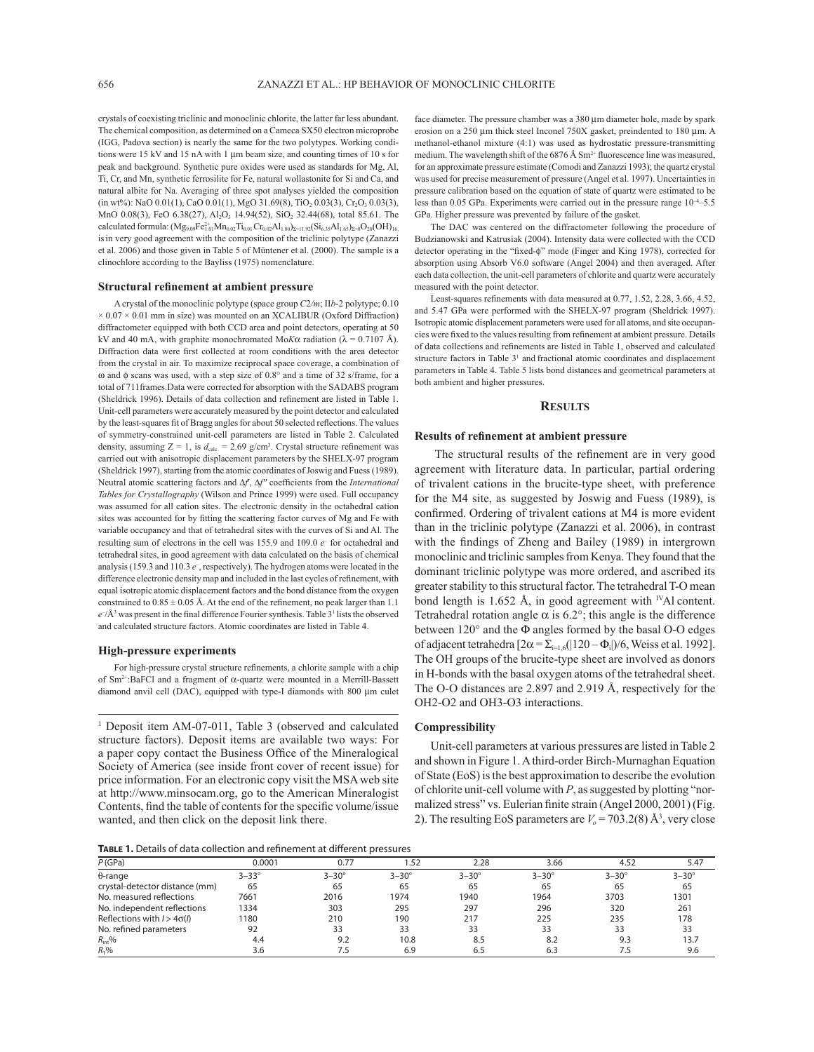crystals of coexisting triclinic and monoclinic chlorite, the latter far less abundant. The chemical composition, as determined on a Cameca SX50 electron microprobe (IGG, Padova section) is nearly the same for the two polytypes. Working conditions were 15 kV and 15 nA with 1 μm beam size, and counting times of 10 s for peak and background. Synthetic pure oxides were used as standards for Mg, Al, Ti, Cr, and Mn, synthetic ferrosilite for Fe, natural wollastonite for Si and Ca, and natural albite for Na. Averaging of three spot analyses yielded the composition (in wt%): NaO  $0.01(1)$ , CaO  $0.01(1)$ , MgO  $31.69(8)$ , TiO<sub>2</sub>  $0.03(3)$ , Cr<sub>2</sub>O<sub>3</sub>  $0.03(3)$ , MnO 0.08(3), FeO 6.38(27), Al<sub>2</sub>O<sub>3</sub> 14.94(52), SiO<sub>2</sub> 32.44(68), total 85.61. The calculated formula:  $(Mg_{9.09}Fe_{1.01}^{2+}Mn_{0.02}Ti_{0.01}Cr_{0.02}Al_{1.80})_{\Sigma=11.92} (Si_{6.35}Al_{1.65})_{\Sigma=8}O_{20}(OH)_{16}$ isin very good agreement with the composition of the triclinic polytype (Zanazzi et al.  $2006$ ) and those given in Table 5 of Müntener et al.  $(2000)$ . The sample is a clinochlore according to the Bayliss (1975) nomenclature.

#### **Structural refi nement at ambient pressure**

A crystal of the monoclinic polytype (space group *C*2*/m*; II*b*-2 polytype; 0.10  $\times$  0.07  $\times$  0.01 mm in size) was mounted on an XCALIBUR (Oxford Diffraction) diffractometer equipped with both CCD area and point detectors, operating at 50 kV and 40 mA, with graphite monochromated Mo*Kα* radiation ( $λ = 0.7107$  Å). Diffraction data were first collected at room conditions with the area detector from the crystal in air. To maximize reciprocal space coverage, a combination of ω and ϕ scans was used, with a step size of 0.8° and a time of 32 s/frame, for a total of 711frames.Data were corrected for absorption with the SADABS program (Sheldrick 1996). Details of data collection and refinement are listed in Table 1. Unit-cell parameters were accurately measured by the point detector and calculated by the least-squares fit of Bragg angles for about 50 selected reflections. The values of symmetry-constrained unit-cell parameters are listed in Table 2. Calculated density, assuming  $Z = 1$ , is  $d_{\text{calc}} = 2.69$  g/cm<sup>3</sup>. Crystal structure refinement was carried out with anisotropic displacement parameters by the SHELX-97 program (Sheldrick 1997), starting from the atomic coordinates of Joswig and Fuess (1989). Neutral atomic scattering factors and Δ*f*, Δ*f''* coefficients from the *International Tables for Crystallography* (Wilson and Prince 1999) were used. Full occupancy was assumed for all cation sites. The electronic density in the octahedral cation sites was accounted for by fitting the scattering factor curves of Mg and Fe with variable occupancy and that of tetrahedral sites with the curves of Si and Al. The resulting sum of electrons in the cell was 155.9 and 109.0  $e^-$  for octahedral and tetrahedral sites, in good agreement with data calculated on the basis of chemical analysis (159.3 and 110.3  $e^$ , respectively). The hydrogen atoms were located in the difference electronic density map and included in the last cycles of refinement, with equal isotropic atomic displacement factors and the bond distance from the oxygen constrained to  $0.85 \pm 0.05$  Å. At the end of the refinement, no peak larger than 1.1  $e^{\frac{1}{A^3}}$  was present in the final difference Fourier synthesis. Table 3<sup>1</sup> lists the observed and calculated structure factors. Atomic coordinates are listed in Table 4.

#### **High-pressure experiments**

For high-pressure crystal structure refinements, a chlorite sample with a chip of Sm2+:BaFCl and a fragment of α-quartz were mounted in a Merrill-Bassett diamond anvil cell (DAC), equipped with type-I diamonds with 800 μm culet

<sup>1</sup> Deposit item AM-07-011, Table 3 (observed and calculated structure factors). Deposit items are available two ways: For a paper copy contact the Business Office of the Mineralogical Society of America (see inside front cover of recent issue) for price information. For an electronic copy visit the MSA web site at http://www.minsocam.org, go to the American Mineralogist Contents, find the table of contents for the specific volume/issue wanted, and then click on the deposit link there.

face diameter. The pressure chamber was a 380 μm diameter hole, made by spark erosion on a 250 μm thick steel Inconel 750X gasket, preindented to 180 μm. A methanol-ethanol mixture (4:1) was used as hydrostatic pressure-transmitting medium. The wavelength shift of the  $6876 \text{ Å } \text{Sm}^{2+}$  fluorescence line was measured. for an approximate pressure estimate (Comodi and Zanazzi 1993); the quartz crystal was used for precise measurement of pressure (Angel et al. 1997). Uncertainties in pressure calibration based on the equation of state of quartz were estimated to be less than 0.05 GPa. Experiments were carried out in the pressure range  $10<sup>-4</sup>$ –5.5 GPa. Higher pressure was prevented by failure of the gasket.

The DAC was centered on the diffractometer following the procedure of Budzianowski and Katrusiak (2004). Intensity data were collected with the CCD detector operating in the "fixed- $φ$ " mode (Finger and King 1978), corrected for absorption using Absorb V6.0 software (Angel 2004) and then averaged. After each data collection, the unit-cell parameters of chlorite and quartz were accurately measured with the point detector.

Least-squares refinements with data measured at  $0.77$ ,  $1.52$ ,  $2.28$ ,  $3.66$ ,  $4.52$ , and 5.47 GPa were performed with the SHELX-97 program (Sheldrick 1997). Isotropic atomic displacement parameters were used for all atoms, and site occupancies were fixed to the values resulting from refinement at ambient pressure. Details of data collections and refinements are listed in Table 1, observed and calculated structure factors in Table 3<sup>1</sup> and fractional atomic coordinates and displacement parameters in Table 4. Table 5 lists bond distances and geometrical parameters at both ambient and higher pressures.

#### **RESULTS**

#### **Results of refi nement at ambient pressure**

The structural results of the refinement are in very good agreement with literature data. In particular, partial ordering of trivalent cations in the brucite-type sheet, with preference for the M4 site, as suggested by Joswig and Fuess (1989), is confirmed. Ordering of trivalent cations at M4 is more evident than in the triclinic polytype (Zanazzi et al. 2006), in contrast with the findings of Zheng and Bailey (1989) in intergrown monoclinic and triclinic samples from Kenya. They found that the dominant triclinic polytype was more ordered, and ascribed its greater stability to this structural factor. The tetrahedral T-O mean bond length is 1.652 Å, in good agreement with <sup>IV</sup>Al content. Tetrahedral rotation angle  $\alpha$  is 6.2°; this angle is the difference between 120° and the Φ angles formed by the basal O-O edges of adjacent tetrahedra  $[2\alpha = \sum_{i=16} (120 - \Phi_i)/6$ , Weiss et al. 1992]. The OH groups of the brucite-type sheet are involved as donors in H-bonds with the basal oxygen atoms of the tetrahedral sheet. The O-O distances are 2.897 and 2.919 Å, respectively for the OH2-O2 and OH3-O3 interactions.

### **Compressibility**

Unit-cell parameters at various pressures are listed in Table 2 and shown in Figure 1. A third-order Birch-Murnaghan Equation of State (EoS) is the best approximation to describe the evolution of chlorite unit-cell volume with  $P$ , as suggested by plotting "normalized stress" vs. Eulerian finite strain (Angel 2000, 2001) (Fig. 2). The resulting EoS parameters are  $V_o = 703.2(8)$  Å<sup>3</sup>, very close

**TABLE 1.** Details of data collection and refinement at different pressures

| <b>IADLE 1.</b> DETAILS OF GATA CONCETION AND TENNESS AT A DITION AT MICSSALES |                  |              |              |              |              |              |              |  |
|--------------------------------------------------------------------------------|------------------|--------------|--------------|--------------|--------------|--------------|--------------|--|
| P(GPa)                                                                         | 0.0001           | 0.77         | .52          | 2.28         | 3.66         | 4.52         | 5.47         |  |
| $\theta$ -range                                                                | $3 - 33^{\circ}$ | $3-30^\circ$ | $3-30^\circ$ | $3-30^\circ$ | $3-30^\circ$ | $3-30^\circ$ | $3-30^\circ$ |  |
| crystal-detector distance (mm)                                                 | 65               | 65           | 65           | 65           | 65           | 65           | 65           |  |
| No. measured reflections                                                       | 7661             | 2016         | 1974         | 1940         | 1964         | 3703         | 1301         |  |
| No. independent reflections                                                    | 1334             | 303          | 295          | 297          | 296          | 320          | 261          |  |
| Reflections with $1 > 4\sigma(l)$                                              | 1180             | 210          | 190          | 217          | 225          | 235          | 178          |  |
| No. refined parameters                                                         | 92               | 33           | 33           | 33           | 33           | 33           | 33           |  |
| $R_{\rm int}$ %                                                                | 4.4              | 9.2          | 10.8         | 8.5          | 8.2          | 9.3          | 13.7         |  |
| $R_1\%$                                                                        | 3.6              | 7.5          | 6.9          | 6.5          | 6.3          | 7.5          | 9.6          |  |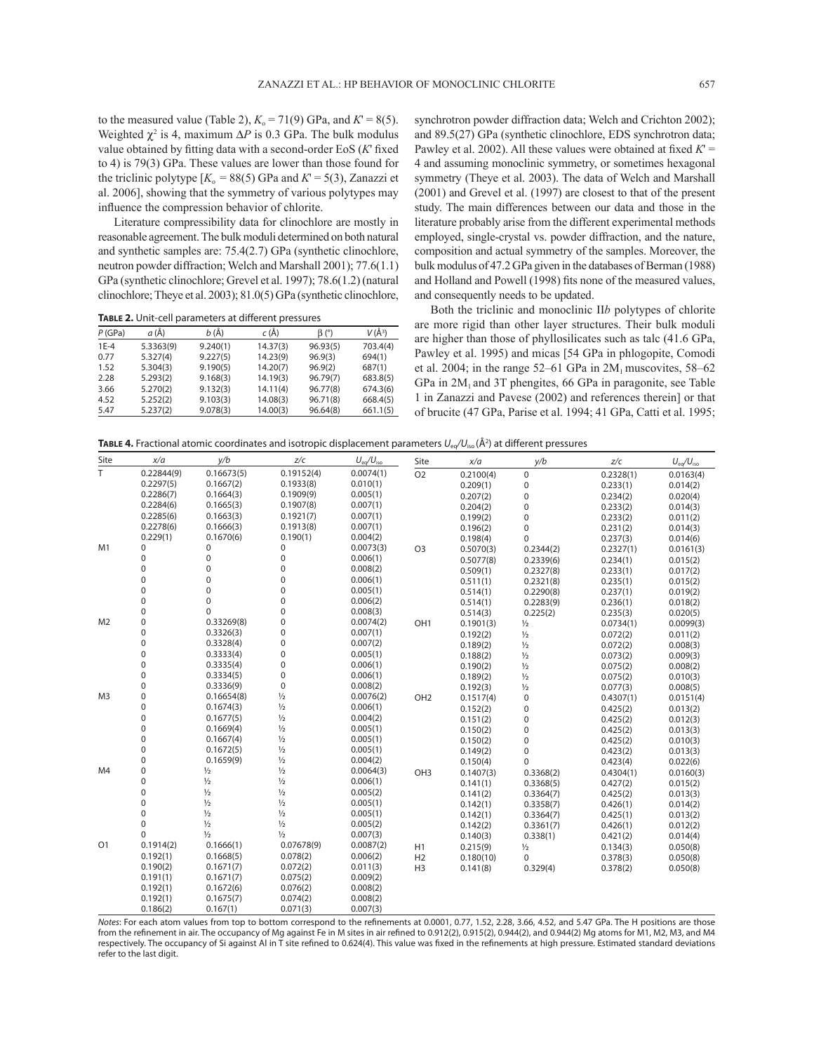to the measured value (Table 2),  $K_0 = 71(9)$  GPa, and  $K' = 8(5)$ . Weighted  $\chi^2$  is 4, maximum  $\Delta P$  is 0.3 GPa. The bulk modulus value obtained by fitting data with a second-order EoS (*K*' fixed to 4) is 79(3) GPa. These values are lower than those found for the triclinic polytype  $K_0 = 88(5)$  GPa and  $K = 5(3)$ , Zanazzi et al. 2006], showing that the symmetry of various polytypes may influence the compression behavior of chlorite.

Literature compressibility data for clinochlore are mostly in reasonable agreement. The bulk moduli determined on both natural and synthetic samples are: 75.4(2.7) GPa (synthetic clinochlore, neutron powder diffraction; Welch and Marshall 2001); 77.6(1.1) GPa (synthetic clinochlore; Grevel et al. 1997); 78.6(1.2) (natural clinochlore; Theye et al. 2003); 81.0(5) GPa (synthetic clinochlore,

**TABLE 2.** Unit-cell parameters at different pressures

| P(GPa) | a (Å)     | b(A)     | c(A)     | $\beta$ (°) | $V(\AA^3)$ |  |  |  |  |
|--------|-----------|----------|----------|-------------|------------|--|--|--|--|
| $1E-4$ | 5.3363(9) | 9.240(1) | 14.37(3) | 96.93(5)    | 703.4(4)   |  |  |  |  |
| 0.77   | 5.327(4)  | 9.227(5) | 14.23(9) | 96.9(3)     | 694(1)     |  |  |  |  |
| 1.52   | 5.304(3)  | 9.190(5) | 14.20(7) | 96.9(2)     | 687(1)     |  |  |  |  |
| 2.28   | 5.293(2)  | 9.168(3) | 14.19(3) | 96.79(7)    | 683.8(5)   |  |  |  |  |
| 3.66   | 5.270(2)  | 9.132(3) | 14.11(4) | 96.77(8)    | 674.3(6)   |  |  |  |  |
| 4.52   | 5.252(2)  | 9.103(3) | 14.08(3) | 96.71(8)    | 668.4(5)   |  |  |  |  |
| 5.47   | 5.237(2)  | 9.078(3) | 14.00(3) | 96.64(8)    | 661.1(5)   |  |  |  |  |

synchrotron powder diffraction data; Welch and Crichton 2002); and 89.5(27) GPa (synthetic clinochlore, EDS synchrotron data; Pawley et al. 2002). All these values were obtained at fixed  $K =$ 4 and assuming monoclinic symmetry, or sometimes hexagonal symmetry (Theye et al. 2003). The data of Welch and Marshall (2001) and Grevel et al. (1997) are closest to that of the present study. The main differences between our data and those in the literature probably arise from the different experimental methods employed, single-crystal vs. powder diffraction, and the nature, composition and actual symmetry of the samples. Moreover, the bulk modulus of 47.2 GPa given in the databases of Berman (1988) and Holland and Powell (1998) fits none of the measured values, and consequently needs to be updated.

Both the triclinic and monoclinic II*b* polytypes of chlorite are more rigid than other layer structures. Their bulk moduli are higher than those of phyllosilicates such as talc (41.6 GPa, Pawley et al. 1995) and micas [54 GPa in phlogopite, Comodi et al. 2004; in the range  $52-61$  GPa in  $2M_1$  muscovites, 58-62 GPa in  $2M_1$  and 3T phengites, 66 GPa in paragonite, see Table 1 in Zanazzi and Pavese (2002) and references therein] or that of brucite (47 GPa, Parise et al. 1994; 41 GPa, Catti et al. 1995;

| <b>TABLE 4.</b> Fractional atomic coordinates and isotropic displacement parameters $U_{\rm eq}/U_{\rm iso}(\rm \AA{}^2)$ at different pressures |  |
|--------------------------------------------------------------------------------------------------------------------------------------------------|--|
|--------------------------------------------------------------------------------------------------------------------------------------------------|--|

| Site           | x/a         | y/b           | z/c           | $U_{eq}/U_{iso}$ | Site            | x/a       | y/b           | Z/C       | $U_{eq}/U_{iso}$ |
|----------------|-------------|---------------|---------------|------------------|-----------------|-----------|---------------|-----------|------------------|
| T              | 0.22844(9)  | 0.16673(5)    | 0.19152(4)    | 0.0074(1)        | O <sub>2</sub>  | 0.2100(4) | $\pmb{0}$     | 0.2328(1) | 0.0163(4)        |
|                | 0.2297(5)   | 0.1667(2)     | 0.1933(8)     | 0.010(1)         |                 | 0.209(1)  | $\pmb{0}$     | 0.233(1)  | 0.014(2)         |
|                | 0.2286(7)   | 0.1664(3)     | 0.1909(9)     | 0.005(1)         |                 | 0.207(2)  | $\pmb{0}$     | 0.234(2)  | 0.020(4)         |
|                | 0.2284(6)   | 0.1665(3)     | 0.1907(8)     | 0.007(1)         |                 | 0.204(2)  | $\pmb{0}$     | 0.233(2)  | 0.014(3)         |
|                | 0.2285(6)   | 0.1663(3)     | 0.1921(7)     | 0.007(1)         |                 | 0.199(2)  | $\pmb{0}$     | 0.233(2)  | 0.011(2)         |
|                | 0.2278(6)   | 0.1666(3)     | 0.1913(8)     | 0.007(1)         |                 | 0.196(2)  | $\pmb{0}$     | 0.231(2)  | 0.014(3)         |
|                | 0.229(1)    | 0.1670(6)     | 0.190(1)      | 0.004(2)         |                 | 0.198(4)  | 0             | 0.237(3)  | 0.014(6)         |
| M1             | 0           | 0             | $\pmb{0}$     | 0.0073(3)        | O <sub>3</sub>  | 0.5070(3) | 0.2344(2)     | 0.2327(1) | 0.0161(3)        |
|                | 0           | $\mathbf 0$   | $\pmb{0}$     | 0.006(1)         |                 | 0.5077(8) | 0.2339(6)     | 0.234(1)  | 0.015(2)         |
|                | $\pmb{0}$   | $\mathbf 0$   | $\pmb{0}$     | 0.008(2)         |                 | 0.509(1)  | 0.2327(8)     | 0.233(1)  | 0.017(2)         |
|                | 0           | $\mathbf 0$   | $\mathbf 0$   | 0.006(1)         |                 | 0.511(1)  | 0.2321(8)     | 0.235(1)  | 0.015(2)         |
|                | $\mathbf 0$ | $\mathbf 0$   | $\mathbf 0$   | 0.005(1)         |                 | 0.514(1)  | 0.2290(8)     | 0.237(1)  | 0.019(2)         |
|                | 0           | $\mathbf 0$   | $\mathbf 0$   | 0.006(2)         |                 | 0.514(1)  | 0.2283(9)     | 0.236(1)  | 0.018(2)         |
|                | 0           | 0             | $\mathbf 0$   | 0.008(3)         |                 | 0.514(3)  | 0.225(2)      | 0.235(3)  | 0.020(5)         |
| M <sub>2</sub> | 0           | 0.33269(8)    | $\pmb{0}$     | 0.0074(2)        | OH <sub>1</sub> | 0.1901(3) | $\frac{1}{2}$ | 0.0734(1) | 0.0099(3)        |
|                | 0           | 0.3326(3)     | $\mathbf 0$   | 0.007(1)         |                 | 0.192(2)  | $\frac{1}{2}$ | 0.072(2)  | 0.011(2)         |
|                | 0           | 0.3328(4)     | $\pmb{0}$     | 0.007(2)         |                 | 0.189(2)  | $\frac{1}{2}$ | 0.072(2)  | 0.008(3)         |
|                | 0           | 0.3333(4)     | $\pmb{0}$     | 0.005(1)         |                 | 0.188(2)  | $\frac{1}{2}$ | 0.073(2)  | 0.009(3)         |
|                | 0           | 0.3335(4)     | $\mathbf 0$   | 0.006(1)         |                 | 0.190(2)  | $1/2$         | 0.075(2)  | 0.008(2)         |
|                | 0           | 0.3334(5)     | $\mathbf 0$   | 0.006(1)         |                 | 0.189(2)  | $1/2$         | 0.075(2)  | 0.010(3)         |
|                | 0           | 0.3336(9)     | $\pmb{0}$     | 0.008(2)         |                 | 0.192(3)  | $\frac{1}{2}$ | 0.077(3)  | 0.008(5)         |
| M <sub>3</sub> | 0           | 0.16654(8)    | $\frac{1}{2}$ | 0.0076(2)        | OH <sub>2</sub> | 0.1517(4) | 0             | 0.4307(1) | 0.0151(4)        |
|                | $\mathbf 0$ | 0.1674(3)     | $\frac{1}{2}$ | 0.006(1)         |                 | 0.152(2)  | 0             | 0.425(2)  | 0.013(2)         |
|                | 0           | 0.1677(5)     | $\frac{1}{2}$ | 0.004(2)         |                 | 0.151(2)  | $\mathbf 0$   | 0.425(2)  | 0.012(3)         |
|                | 0           | 0.1669(4)     | $1/2$         | 0.005(1)         |                 | 0.150(2)  | $\mathbf 0$   | 0.425(2)  | 0.013(3)         |
|                | 0           | 0.1667(4)     | $\frac{1}{2}$ | 0.005(1)         |                 | 0.150(2)  | $\mathbf 0$   | 0.425(2)  | 0.010(3)         |
|                | 0           | 0.1672(5)     | $\frac{1}{2}$ | 0.005(1)         |                 | 0.149(2)  | $\pmb{0}$     | 0.423(2)  | 0.013(3)         |
|                | 0           | 0.1659(9)     | $1/2$         | 0.004(2)         |                 | 0.150(4)  | $\mathbf 0$   | 0.423(4)  | 0.022(6)         |
| M4             | 0           | $\frac{1}{2}$ | $\frac{1}{2}$ | 0.0064(3)        | OH <sub>3</sub> | 0.1407(3) | 0.3368(2)     | 0.4304(1) | 0.0160(3)        |
|                | 0           | $\frac{1}{2}$ | $\frac{1}{2}$ | 0.006(1)         |                 | 0.141(1)  | 0.3368(5)     | 0.427(2)  | 0.015(2)         |
|                | 0           | $\frac{1}{2}$ | $\frac{1}{2}$ | 0.005(2)         |                 | 0.141(2)  | 0.3364(7)     | 0.425(2)  | 0.013(3)         |
|                | 0           | $\frac{1}{2}$ | $\frac{1}{2}$ | 0.005(1)         |                 | 0.142(1)  | 0.3358(7)     | 0.426(1)  | 0.014(2)         |
|                | 0           | $1/2$         | $\frac{1}{2}$ | 0.005(1)         |                 | 0.142(1)  | 0.3364(7)     | 0.425(1)  | 0.013(2)         |
|                | 0           | $1/2$         | $1/2$         | 0.005(2)         |                 | 0.142(2)  | 0.3361(7)     | 0.426(1)  | 0.012(2)         |
|                | 0           | $\frac{1}{2}$ | $\frac{1}{2}$ | 0.007(3)         |                 | 0.140(3)  | 0.338(1)      | 0.421(2)  | 0.014(4)         |
| O <sub>1</sub> | 0.1914(2)   | 0.1666(1)     | 0.07678(9)    | 0.0087(2)        | H1              | 0.215(9)  | $\frac{1}{2}$ | 0.134(3)  | 0.050(8)         |
|                | 0.192(1)    | 0.1668(5)     | 0.078(2)      | 0.006(2)         | H <sub>2</sub>  | 0.180(10) | $\mathbf 0$   | 0.378(3)  | 0.050(8)         |
|                | 0.190(2)    | 0.1671(7)     | 0.072(2)      | 0.011(3)         | H <sub>3</sub>  | 0.141(8)  | 0.329(4)      | 0.378(2)  | 0.050(8)         |
|                | 0.191(1)    | 0.1671(7)     | 0.075(2)      | 0.009(2)         |                 |           |               |           |                  |
|                | 0.192(1)    | 0.1672(6)     | 0.076(2)      | 0.008(2)         |                 |           |               |           |                  |
|                | 0.192(1)    | 0.1675(7)     | 0.074(2)      | 0.008(2)         |                 |           |               |           |                  |
|                | 0.186(2)    | 0.167(1)      | 0.071(3)      | 0.007(3)         |                 |           |               |           |                  |

Notes: For each atom values from top to bottom correspond to the refinements at 0.0001, 0.77, 1.52, 2.28, 3.66, 4.52, and 5.47 GPa. The H positions are those from the refinement in air. The occupancy of Mg against Fe in M sites in air refined to 0.912(2), 0.915(2), 0.944(2), and 0.944(2) Mg atoms for M1, M2, M3, and M4 respectively. The occupancy of Si against Al in T site refined to 0.624(4). This value was fixed in the refinements at high pressure. Estimated standard deviations refer to the last digit.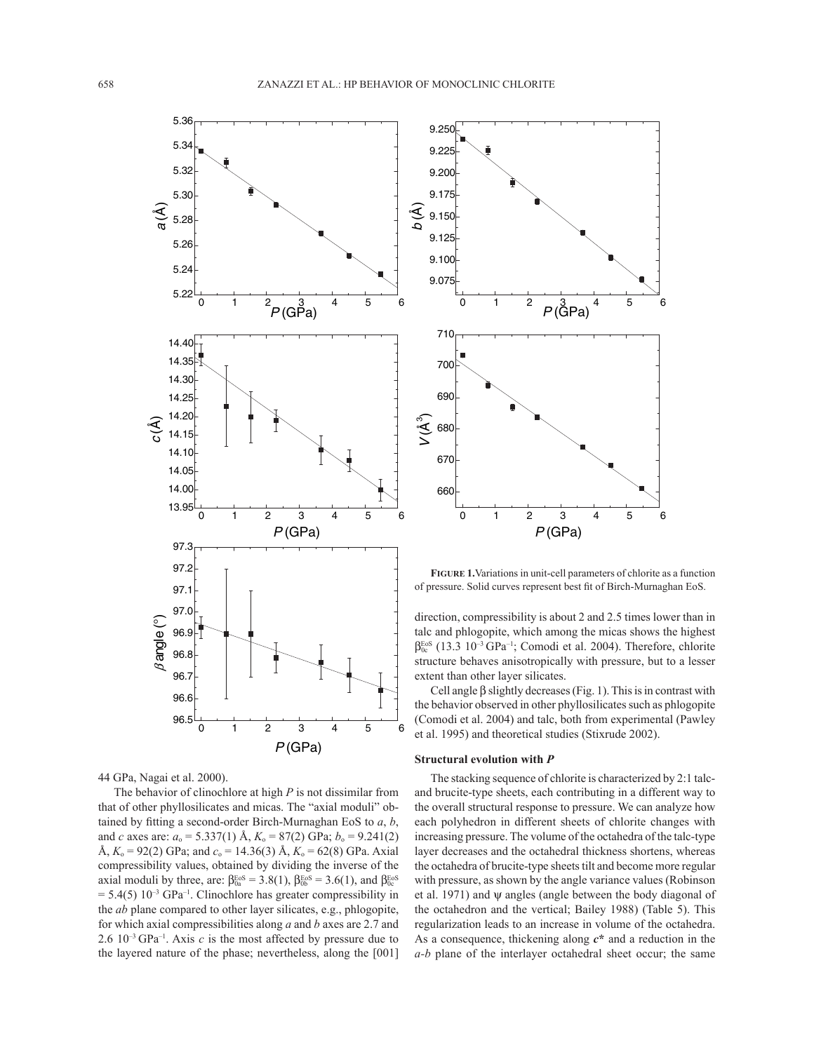

44 GPa, Nagai et al. 2000).

The behavior of clinochlore at high *P* is not dissimilar from that of other phyllosilicates and micas. The "axial moduli" obtained by fitting a second-order Birch-Murnaghan EoS to  $a, b$ , and *c* axes are:  $a_0 = 5.337(1)$  Å,  $K_0 = 87(2)$  GPa;  $b_0 = 9.241(2)$  $\dot{A}$ ,  $K_0$  = 92(2) GPa; and  $c_0$  = 14.36(3)  $\dot{A}$ ,  $K_0$  = 62(8) GPa. Axial compressibility values, obtained by dividing the inverse of the axial moduli by three, are:  $\beta_{0a}^{EoS} = 3.8(1)$ ,  $\beta_{0b}^{EoS} = 3.6(1)$ , and  $\beta_{0c}^{EoS}$  $= 5.4(5) 10^{-3} GPa^{-1}$ . Clinochlore has greater compressibility in the *ab* plane compared to other layer silicates, e.g., phlogopite, for which axial compressibilities along *a* and *b* axes are 2.7 and  $2.6 \, 10^{-3} \, \text{GPa}^{-1}$ . Axis *c* is the most affected by pressure due to the layered nature of the phase; nevertheless, along the [001]



**FIGURE 1.**Variations in unit-cell parameters of chlorite as a function of pressure. Solid curves represent best fi t of Birch-Murnaghan EoS.

direction, compressibility is about 2 and 2.5 times lower than in talc and phlogopite, which among the micas shows the highest  $\beta_{0c}^{EoS}$  (13.3 10<sup>-3</sup> GPa<sup>-1</sup>; Comodi et al. 2004). Therefore, chlorite structure behaves anisotropically with pressure, but to a lesser extent than other layer silicates.

Cell angle β slightly decreases (Fig. 1). This is in contrast with the behavior observed in other phyllosilicates such as phlogopite (Comodi et al. 2004) and talc, both from experimental (Pawley et al. 1995) and theoretical studies (Stixrude 2002).

#### **Structural evolution with** *P*

The stacking sequence of chlorite is characterized by 2:1 talcand brucite-type sheets, each contributing in a different way to the overall structural response to pressure. We can analyze how each polyhedron in different sheets of chlorite changes with increasing pressure. The volume of the octahedra of the talc-type layer decreases and the octahedral thickness shortens, whereas the octahedra of brucite-type sheets tilt and become more regular with pressure, as shown by the angle variance values (Robinson et al. 1971) and ψ angles (angle between the body diagonal of the octahedron and the vertical; Bailey 1988) (Table 5). This regularization leads to an increase in volume of the octahedra. As a consequence, thickening along *c***\*** and a reduction in the *a-b* plane of the interlayer octahedral sheet occur; the same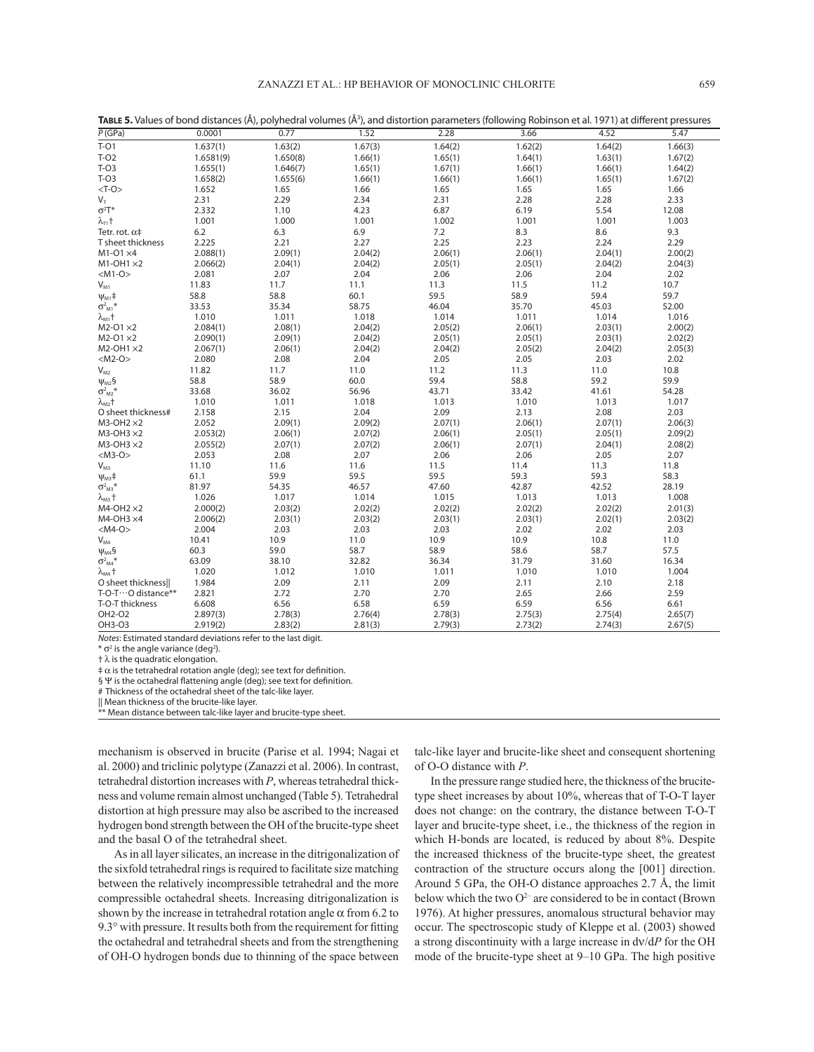| $T-O1$<br>1.67(3)<br>1.637(1)<br>1.63(2)<br>1.64(2)<br>1.62(2)<br>1.64(2)<br>1.66(3)<br>$T-O2$<br>1.650(8)<br>1.66(1)<br>1.65(1)<br>1.64(1)<br>1.63(1)<br>1.67(2)<br>1.6581(9)<br>$T-O3$<br>1.65(1)<br>1.67(1)<br>1.655(1)<br>1.646(7)<br>1.66(1)<br>1.66(1)<br>1.64(2)<br>$T-O3$<br>1.658(2)<br>1.655(6)<br>1.66(1)<br>1.66(1)<br>1.66(1)<br>1.65(1)<br>1.67(2)<br>$<$ T-O><br>1.652<br>1.65<br>1.66<br>1.65<br>1.65<br>1.65<br>1.66<br>$V_T$<br>2.29<br>2.34<br>2.31<br>2.28<br>2.33<br>2.31<br>2.28<br>2.332<br>1.10<br>4.23<br>6.87<br>6.19<br>12.08<br>$\sigma^2T^*$<br>5.54<br>$\lambda_{T1}$ t<br>1.001<br>1.000<br>1.001<br>1.002<br>1.001<br>1.001<br>1.003<br>6.2<br>6.9<br>7.2<br>8.3<br>9.3<br>6.3<br>8.6<br>Tetr. rot. $\alpha$ #<br>2.225<br>2.21<br>2.25<br>2.23<br>2.29<br>T sheet thickness<br>2.27<br>2.24<br>$M1-O1 \times 4$<br>2.088(1)<br>2.09(1)<br>2.04(2)<br>2.06(1)<br>2.06(1)<br>2.00(2)<br>2.04(1)<br>$M1-OH1 \times 2$<br>2.066(2)<br>2.04(1)<br>2.04(2)<br>2.05(1)<br>2.05(1)<br>2.04(2)<br>2.04(3)<br>$<$ M1-O><br>2.081<br>2.07<br>2.04<br>2.06<br>2.02<br>2.06<br>2.04<br>$V_{M1}$<br>11.83<br>11.7<br>11.1<br>11.3<br>11.5<br>11.2<br>10.7<br>58.8<br>59.5<br>59.4<br>$\Psi_{M1}$ ‡<br>58.8<br>60.1<br>58.9<br>59.7<br>$\sigma^2$ <sub>M1</sub> <sup>*</sup><br>33.53<br>35.34<br>58.75<br>46.04<br>35.70<br>45.03<br>52.00<br>1.011<br>1.018<br>1.014<br>1.011<br>1.010<br>1.014<br>1.016<br>2.08(1)<br>2.04(2)<br>2.06(1)<br>2.084(1)<br>2.05(2)<br>2.03(1)<br>2.00(2)<br>2.09(1)<br>2.04(2)<br>2.05(1)<br>2.090(1)<br>2.05(1)<br>2.03(1)<br>2.02(2)<br>2.067(1)<br>2.06(1)<br>2.04(2)<br>2.04(2)<br>2.05(2)<br>2.04(2)<br>2.05(3)<br>$<$ M2-O $>$<br>2.080<br>2.08<br>2.04<br>2.05<br>2.05<br>2.03<br>2.02<br>11.82<br>10.8<br>$V_{M2}$<br>11.7<br>11.0<br>11.2<br>11.3<br>11.0<br>58.8<br>58.9<br>60.0<br>59.4<br>58.8<br>59.2<br>59.9<br>$\Psi_{M2}$ §<br>$\sigma^2$ <sub>M2</sub> <sup>*</sup><br>33.68<br>36.02<br>56.96<br>43.71<br>33.42<br>41.61<br>54.28<br>1.010<br>1.011<br>1.018<br>1.013<br>1.010<br>1.013<br>1.017<br>$\lambda_{M2}$ t<br>2.158<br>2.15<br>2.04<br>2.09<br>2.13<br>2.08<br>2.03<br>O sheet thickness#<br>$M3-OH2 \times 2$<br>2.052<br>2.09(1)<br>2.09(2)<br>2.07(1)<br>2.06(1)<br>2.06(3)<br>2.07(1)<br>$M3-OH3 \times 2$<br>2.053(2)<br>2.06(1)<br>2.07(2)<br>2.06(1)<br>2.05(1)<br>2.05(1)<br>2.09(2)<br>2.07(1)<br>2.07(2)<br>2.06(1)<br>2.07(1)<br>2.08(2)<br>2.055(2)<br>2.04(1)<br>$<$ M3-O $>$<br>2.053<br>2.08<br>2.07<br>2.06<br>2.06<br>2.07<br>2.05<br>$V_{M3}$<br>11.6<br>11.10<br>11.6<br>11.5<br>11.4<br>11.3<br>11.8<br>61.1<br>59.9<br>59.5<br>59.5<br>59.3<br>59.3<br>58.3<br>$\psi_{M3}$ ‡<br>$\sigma^2$ <sub>M3</sub> <sup>*</sup><br>81.97<br>46.57<br>42.52<br>28.19<br>54.35<br>47.60<br>42.87<br>1.017<br>$\lambda_{M3}$ +<br>1.026<br>1.014<br>1.015<br>1.013<br>1.013<br>1.008<br>$M4-OH2 \times 2$<br>2.000(2)<br>2.03(2)<br>2.02(2)<br>2.02(2)<br>2.02(2)<br>2.02(2)<br>2.01(3)<br>$M4$ -OH3 $\times$ 4<br>2.006(2)<br>2.03(1)<br>2.03(2)<br>2.03(1)<br>2.03(1)<br>2.02(1)<br>2.03(2)<br>2.03<br>2.02<br>2.03<br>$<$ M4-O><br>2.004<br>2.03<br>2.03<br>2.02<br>$V_{M4}$<br>10.9<br>10.9<br>10.41<br>11.0<br>10.9<br>10.8<br>11.0<br>60.3<br>59.0<br>58.7<br>58.9<br>58.6<br>58.7<br>57.5<br>$\Psi_{M4}$ §<br>$\sigma^2$ <sub>M4</sub> <sup>*</sup><br>63.09<br>32.82<br>38.10<br>36.34<br>31.79<br>31.60<br>16.34<br>$\lambda_{M4}$ +<br>1.020<br>1.010<br>1.004<br>1.012<br>1.011<br>1.010<br>1.010<br>O sheet thickness  <br>1.984<br>2.09<br>2.11<br>2.09<br>2.11<br>2.18<br>2.10<br>T-O-T…O distance**<br>2.821<br>2.70<br>2.70<br>2.59<br>2.72<br>2.65<br>2.66<br>6.59<br>T-O-T thickness<br>6.608<br>6.56<br>6.58<br>6.59<br>6.56<br>6.61<br>OH2-O2<br>2.78(3)<br>2.76(4)<br>2.78(3)<br>2.75(3)<br>2.65(7)<br>2.897(3)<br>2.75(4) | $\overline{P(GPa)}$ | 0.0001   | $\cdots$<br>0.77 | $\cdots$<br>1.52 | 2.28    | ے<br>3.66 | 4.52    | 5.47    |
|---------------------------------------------------------------------------------------------------------------------------------------------------------------------------------------------------------------------------------------------------------------------------------------------------------------------------------------------------------------------------------------------------------------------------------------------------------------------------------------------------------------------------------------------------------------------------------------------------------------------------------------------------------------------------------------------------------------------------------------------------------------------------------------------------------------------------------------------------------------------------------------------------------------------------------------------------------------------------------------------------------------------------------------------------------------------------------------------------------------------------------------------------------------------------------------------------------------------------------------------------------------------------------------------------------------------------------------------------------------------------------------------------------------------------------------------------------------------------------------------------------------------------------------------------------------------------------------------------------------------------------------------------------------------------------------------------------------------------------------------------------------------------------------------------------------------------------------------------------------------------------------------------------------------------------------------------------------------------------------------------------------------------------------------------------------------------------------------------------------------------------------------------------------------------------------------------------------------------------------------------------------------------------------------------------------------------------------------------------------------------------------------------------------------------------------------------------------------------------------------------------------------------------------------------------------------------------------------------------------------------------------------------------------------------------------------------------------------------------------------------------------------------------------------------------------------------------------------------------------------------------------------------------------------------------------------------------------------------------------------------------------------------------------------------------------------------------------------------------------------------------------------------------------------------------------------------------------------------------------------------------------------------------------------------------------------------------------------------------------------------------------------------------------------------------------------------------------------------------------------------------------------------------------------------------------------------------------------------------------------------------------------------------------------------------------------------------------------------------------------------------------------------------------------------------------------------------------|---------------------|----------|------------------|------------------|---------|-----------|---------|---------|
|                                                                                                                                                                                                                                                                                                                                                                                                                                                                                                                                                                                                                                                                                                                                                                                                                                                                                                                                                                                                                                                                                                                                                                                                                                                                                                                                                                                                                                                                                                                                                                                                                                                                                                                                                                                                                                                                                                                                                                                                                                                                                                                                                                                                                                                                                                                                                                                                                                                                                                                                                                                                                                                                                                                                                                                                                                                                                                                                                                                                                                                                                                                                                                                                                                                                                                                                                                                                                                                                                                                                                                                                                                                                                                                                                                                                                                       |                     |          |                  |                  |         |           |         |         |
|                                                                                                                                                                                                                                                                                                                                                                                                                                                                                                                                                                                                                                                                                                                                                                                                                                                                                                                                                                                                                                                                                                                                                                                                                                                                                                                                                                                                                                                                                                                                                                                                                                                                                                                                                                                                                                                                                                                                                                                                                                                                                                                                                                                                                                                                                                                                                                                                                                                                                                                                                                                                                                                                                                                                                                                                                                                                                                                                                                                                                                                                                                                                                                                                                                                                                                                                                                                                                                                                                                                                                                                                                                                                                                                                                                                                                                       |                     |          |                  |                  |         |           |         |         |
|                                                                                                                                                                                                                                                                                                                                                                                                                                                                                                                                                                                                                                                                                                                                                                                                                                                                                                                                                                                                                                                                                                                                                                                                                                                                                                                                                                                                                                                                                                                                                                                                                                                                                                                                                                                                                                                                                                                                                                                                                                                                                                                                                                                                                                                                                                                                                                                                                                                                                                                                                                                                                                                                                                                                                                                                                                                                                                                                                                                                                                                                                                                                                                                                                                                                                                                                                                                                                                                                                                                                                                                                                                                                                                                                                                                                                                       |                     |          |                  |                  |         |           |         |         |
|                                                                                                                                                                                                                                                                                                                                                                                                                                                                                                                                                                                                                                                                                                                                                                                                                                                                                                                                                                                                                                                                                                                                                                                                                                                                                                                                                                                                                                                                                                                                                                                                                                                                                                                                                                                                                                                                                                                                                                                                                                                                                                                                                                                                                                                                                                                                                                                                                                                                                                                                                                                                                                                                                                                                                                                                                                                                                                                                                                                                                                                                                                                                                                                                                                                                                                                                                                                                                                                                                                                                                                                                                                                                                                                                                                                                                                       |                     |          |                  |                  |         |           |         |         |
|                                                                                                                                                                                                                                                                                                                                                                                                                                                                                                                                                                                                                                                                                                                                                                                                                                                                                                                                                                                                                                                                                                                                                                                                                                                                                                                                                                                                                                                                                                                                                                                                                                                                                                                                                                                                                                                                                                                                                                                                                                                                                                                                                                                                                                                                                                                                                                                                                                                                                                                                                                                                                                                                                                                                                                                                                                                                                                                                                                                                                                                                                                                                                                                                                                                                                                                                                                                                                                                                                                                                                                                                                                                                                                                                                                                                                                       |                     |          |                  |                  |         |           |         |         |
|                                                                                                                                                                                                                                                                                                                                                                                                                                                                                                                                                                                                                                                                                                                                                                                                                                                                                                                                                                                                                                                                                                                                                                                                                                                                                                                                                                                                                                                                                                                                                                                                                                                                                                                                                                                                                                                                                                                                                                                                                                                                                                                                                                                                                                                                                                                                                                                                                                                                                                                                                                                                                                                                                                                                                                                                                                                                                                                                                                                                                                                                                                                                                                                                                                                                                                                                                                                                                                                                                                                                                                                                                                                                                                                                                                                                                                       |                     |          |                  |                  |         |           |         |         |
|                                                                                                                                                                                                                                                                                                                                                                                                                                                                                                                                                                                                                                                                                                                                                                                                                                                                                                                                                                                                                                                                                                                                                                                                                                                                                                                                                                                                                                                                                                                                                                                                                                                                                                                                                                                                                                                                                                                                                                                                                                                                                                                                                                                                                                                                                                                                                                                                                                                                                                                                                                                                                                                                                                                                                                                                                                                                                                                                                                                                                                                                                                                                                                                                                                                                                                                                                                                                                                                                                                                                                                                                                                                                                                                                                                                                                                       |                     |          |                  |                  |         |           |         |         |
|                                                                                                                                                                                                                                                                                                                                                                                                                                                                                                                                                                                                                                                                                                                                                                                                                                                                                                                                                                                                                                                                                                                                                                                                                                                                                                                                                                                                                                                                                                                                                                                                                                                                                                                                                                                                                                                                                                                                                                                                                                                                                                                                                                                                                                                                                                                                                                                                                                                                                                                                                                                                                                                                                                                                                                                                                                                                                                                                                                                                                                                                                                                                                                                                                                                                                                                                                                                                                                                                                                                                                                                                                                                                                                                                                                                                                                       |                     |          |                  |                  |         |           |         |         |
|                                                                                                                                                                                                                                                                                                                                                                                                                                                                                                                                                                                                                                                                                                                                                                                                                                                                                                                                                                                                                                                                                                                                                                                                                                                                                                                                                                                                                                                                                                                                                                                                                                                                                                                                                                                                                                                                                                                                                                                                                                                                                                                                                                                                                                                                                                                                                                                                                                                                                                                                                                                                                                                                                                                                                                                                                                                                                                                                                                                                                                                                                                                                                                                                                                                                                                                                                                                                                                                                                                                                                                                                                                                                                                                                                                                                                                       |                     |          |                  |                  |         |           |         |         |
|                                                                                                                                                                                                                                                                                                                                                                                                                                                                                                                                                                                                                                                                                                                                                                                                                                                                                                                                                                                                                                                                                                                                                                                                                                                                                                                                                                                                                                                                                                                                                                                                                                                                                                                                                                                                                                                                                                                                                                                                                                                                                                                                                                                                                                                                                                                                                                                                                                                                                                                                                                                                                                                                                                                                                                                                                                                                                                                                                                                                                                                                                                                                                                                                                                                                                                                                                                                                                                                                                                                                                                                                                                                                                                                                                                                                                                       |                     |          |                  |                  |         |           |         |         |
|                                                                                                                                                                                                                                                                                                                                                                                                                                                                                                                                                                                                                                                                                                                                                                                                                                                                                                                                                                                                                                                                                                                                                                                                                                                                                                                                                                                                                                                                                                                                                                                                                                                                                                                                                                                                                                                                                                                                                                                                                                                                                                                                                                                                                                                                                                                                                                                                                                                                                                                                                                                                                                                                                                                                                                                                                                                                                                                                                                                                                                                                                                                                                                                                                                                                                                                                                                                                                                                                                                                                                                                                                                                                                                                                                                                                                                       |                     |          |                  |                  |         |           |         |         |
|                                                                                                                                                                                                                                                                                                                                                                                                                                                                                                                                                                                                                                                                                                                                                                                                                                                                                                                                                                                                                                                                                                                                                                                                                                                                                                                                                                                                                                                                                                                                                                                                                                                                                                                                                                                                                                                                                                                                                                                                                                                                                                                                                                                                                                                                                                                                                                                                                                                                                                                                                                                                                                                                                                                                                                                                                                                                                                                                                                                                                                                                                                                                                                                                                                                                                                                                                                                                                                                                                                                                                                                                                                                                                                                                                                                                                                       |                     |          |                  |                  |         |           |         |         |
|                                                                                                                                                                                                                                                                                                                                                                                                                                                                                                                                                                                                                                                                                                                                                                                                                                                                                                                                                                                                                                                                                                                                                                                                                                                                                                                                                                                                                                                                                                                                                                                                                                                                                                                                                                                                                                                                                                                                                                                                                                                                                                                                                                                                                                                                                                                                                                                                                                                                                                                                                                                                                                                                                                                                                                                                                                                                                                                                                                                                                                                                                                                                                                                                                                                                                                                                                                                                                                                                                                                                                                                                                                                                                                                                                                                                                                       |                     |          |                  |                  |         |           |         |         |
|                                                                                                                                                                                                                                                                                                                                                                                                                                                                                                                                                                                                                                                                                                                                                                                                                                                                                                                                                                                                                                                                                                                                                                                                                                                                                                                                                                                                                                                                                                                                                                                                                                                                                                                                                                                                                                                                                                                                                                                                                                                                                                                                                                                                                                                                                                                                                                                                                                                                                                                                                                                                                                                                                                                                                                                                                                                                                                                                                                                                                                                                                                                                                                                                                                                                                                                                                                                                                                                                                                                                                                                                                                                                                                                                                                                                                                       |                     |          |                  |                  |         |           |         |         |
|                                                                                                                                                                                                                                                                                                                                                                                                                                                                                                                                                                                                                                                                                                                                                                                                                                                                                                                                                                                                                                                                                                                                                                                                                                                                                                                                                                                                                                                                                                                                                                                                                                                                                                                                                                                                                                                                                                                                                                                                                                                                                                                                                                                                                                                                                                                                                                                                                                                                                                                                                                                                                                                                                                                                                                                                                                                                                                                                                                                                                                                                                                                                                                                                                                                                                                                                                                                                                                                                                                                                                                                                                                                                                                                                                                                                                                       |                     |          |                  |                  |         |           |         |         |
|                                                                                                                                                                                                                                                                                                                                                                                                                                                                                                                                                                                                                                                                                                                                                                                                                                                                                                                                                                                                                                                                                                                                                                                                                                                                                                                                                                                                                                                                                                                                                                                                                                                                                                                                                                                                                                                                                                                                                                                                                                                                                                                                                                                                                                                                                                                                                                                                                                                                                                                                                                                                                                                                                                                                                                                                                                                                                                                                                                                                                                                                                                                                                                                                                                                                                                                                                                                                                                                                                                                                                                                                                                                                                                                                                                                                                                       |                     |          |                  |                  |         |           |         |         |
|                                                                                                                                                                                                                                                                                                                                                                                                                                                                                                                                                                                                                                                                                                                                                                                                                                                                                                                                                                                                                                                                                                                                                                                                                                                                                                                                                                                                                                                                                                                                                                                                                                                                                                                                                                                                                                                                                                                                                                                                                                                                                                                                                                                                                                                                                                                                                                                                                                                                                                                                                                                                                                                                                                                                                                                                                                                                                                                                                                                                                                                                                                                                                                                                                                                                                                                                                                                                                                                                                                                                                                                                                                                                                                                                                                                                                                       |                     |          |                  |                  |         |           |         |         |
|                                                                                                                                                                                                                                                                                                                                                                                                                                                                                                                                                                                                                                                                                                                                                                                                                                                                                                                                                                                                                                                                                                                                                                                                                                                                                                                                                                                                                                                                                                                                                                                                                                                                                                                                                                                                                                                                                                                                                                                                                                                                                                                                                                                                                                                                                                                                                                                                                                                                                                                                                                                                                                                                                                                                                                                                                                                                                                                                                                                                                                                                                                                                                                                                                                                                                                                                                                                                                                                                                                                                                                                                                                                                                                                                                                                                                                       | $\lambda_{M1}$ t    |          |                  |                  |         |           |         |         |
|                                                                                                                                                                                                                                                                                                                                                                                                                                                                                                                                                                                                                                                                                                                                                                                                                                                                                                                                                                                                                                                                                                                                                                                                                                                                                                                                                                                                                                                                                                                                                                                                                                                                                                                                                                                                                                                                                                                                                                                                                                                                                                                                                                                                                                                                                                                                                                                                                                                                                                                                                                                                                                                                                                                                                                                                                                                                                                                                                                                                                                                                                                                                                                                                                                                                                                                                                                                                                                                                                                                                                                                                                                                                                                                                                                                                                                       | $M2-O1 \times 2$    |          |                  |                  |         |           |         |         |
|                                                                                                                                                                                                                                                                                                                                                                                                                                                                                                                                                                                                                                                                                                                                                                                                                                                                                                                                                                                                                                                                                                                                                                                                                                                                                                                                                                                                                                                                                                                                                                                                                                                                                                                                                                                                                                                                                                                                                                                                                                                                                                                                                                                                                                                                                                                                                                                                                                                                                                                                                                                                                                                                                                                                                                                                                                                                                                                                                                                                                                                                                                                                                                                                                                                                                                                                                                                                                                                                                                                                                                                                                                                                                                                                                                                                                                       | $M2-O1 \times 2$    |          |                  |                  |         |           |         |         |
|                                                                                                                                                                                                                                                                                                                                                                                                                                                                                                                                                                                                                                                                                                                                                                                                                                                                                                                                                                                                                                                                                                                                                                                                                                                                                                                                                                                                                                                                                                                                                                                                                                                                                                                                                                                                                                                                                                                                                                                                                                                                                                                                                                                                                                                                                                                                                                                                                                                                                                                                                                                                                                                                                                                                                                                                                                                                                                                                                                                                                                                                                                                                                                                                                                                                                                                                                                                                                                                                                                                                                                                                                                                                                                                                                                                                                                       | $M2-OH1 \times 2$   |          |                  |                  |         |           |         |         |
|                                                                                                                                                                                                                                                                                                                                                                                                                                                                                                                                                                                                                                                                                                                                                                                                                                                                                                                                                                                                                                                                                                                                                                                                                                                                                                                                                                                                                                                                                                                                                                                                                                                                                                                                                                                                                                                                                                                                                                                                                                                                                                                                                                                                                                                                                                                                                                                                                                                                                                                                                                                                                                                                                                                                                                                                                                                                                                                                                                                                                                                                                                                                                                                                                                                                                                                                                                                                                                                                                                                                                                                                                                                                                                                                                                                                                                       |                     |          |                  |                  |         |           |         |         |
|                                                                                                                                                                                                                                                                                                                                                                                                                                                                                                                                                                                                                                                                                                                                                                                                                                                                                                                                                                                                                                                                                                                                                                                                                                                                                                                                                                                                                                                                                                                                                                                                                                                                                                                                                                                                                                                                                                                                                                                                                                                                                                                                                                                                                                                                                                                                                                                                                                                                                                                                                                                                                                                                                                                                                                                                                                                                                                                                                                                                                                                                                                                                                                                                                                                                                                                                                                                                                                                                                                                                                                                                                                                                                                                                                                                                                                       |                     |          |                  |                  |         |           |         |         |
|                                                                                                                                                                                                                                                                                                                                                                                                                                                                                                                                                                                                                                                                                                                                                                                                                                                                                                                                                                                                                                                                                                                                                                                                                                                                                                                                                                                                                                                                                                                                                                                                                                                                                                                                                                                                                                                                                                                                                                                                                                                                                                                                                                                                                                                                                                                                                                                                                                                                                                                                                                                                                                                                                                                                                                                                                                                                                                                                                                                                                                                                                                                                                                                                                                                                                                                                                                                                                                                                                                                                                                                                                                                                                                                                                                                                                                       |                     |          |                  |                  |         |           |         |         |
|                                                                                                                                                                                                                                                                                                                                                                                                                                                                                                                                                                                                                                                                                                                                                                                                                                                                                                                                                                                                                                                                                                                                                                                                                                                                                                                                                                                                                                                                                                                                                                                                                                                                                                                                                                                                                                                                                                                                                                                                                                                                                                                                                                                                                                                                                                                                                                                                                                                                                                                                                                                                                                                                                                                                                                                                                                                                                                                                                                                                                                                                                                                                                                                                                                                                                                                                                                                                                                                                                                                                                                                                                                                                                                                                                                                                                                       |                     |          |                  |                  |         |           |         |         |
|                                                                                                                                                                                                                                                                                                                                                                                                                                                                                                                                                                                                                                                                                                                                                                                                                                                                                                                                                                                                                                                                                                                                                                                                                                                                                                                                                                                                                                                                                                                                                                                                                                                                                                                                                                                                                                                                                                                                                                                                                                                                                                                                                                                                                                                                                                                                                                                                                                                                                                                                                                                                                                                                                                                                                                                                                                                                                                                                                                                                                                                                                                                                                                                                                                                                                                                                                                                                                                                                                                                                                                                                                                                                                                                                                                                                                                       |                     |          |                  |                  |         |           |         |         |
|                                                                                                                                                                                                                                                                                                                                                                                                                                                                                                                                                                                                                                                                                                                                                                                                                                                                                                                                                                                                                                                                                                                                                                                                                                                                                                                                                                                                                                                                                                                                                                                                                                                                                                                                                                                                                                                                                                                                                                                                                                                                                                                                                                                                                                                                                                                                                                                                                                                                                                                                                                                                                                                                                                                                                                                                                                                                                                                                                                                                                                                                                                                                                                                                                                                                                                                                                                                                                                                                                                                                                                                                                                                                                                                                                                                                                                       |                     |          |                  |                  |         |           |         |         |
|                                                                                                                                                                                                                                                                                                                                                                                                                                                                                                                                                                                                                                                                                                                                                                                                                                                                                                                                                                                                                                                                                                                                                                                                                                                                                                                                                                                                                                                                                                                                                                                                                                                                                                                                                                                                                                                                                                                                                                                                                                                                                                                                                                                                                                                                                                                                                                                                                                                                                                                                                                                                                                                                                                                                                                                                                                                                                                                                                                                                                                                                                                                                                                                                                                                                                                                                                                                                                                                                                                                                                                                                                                                                                                                                                                                                                                       |                     |          |                  |                  |         |           |         |         |
|                                                                                                                                                                                                                                                                                                                                                                                                                                                                                                                                                                                                                                                                                                                                                                                                                                                                                                                                                                                                                                                                                                                                                                                                                                                                                                                                                                                                                                                                                                                                                                                                                                                                                                                                                                                                                                                                                                                                                                                                                                                                                                                                                                                                                                                                                                                                                                                                                                                                                                                                                                                                                                                                                                                                                                                                                                                                                                                                                                                                                                                                                                                                                                                                                                                                                                                                                                                                                                                                                                                                                                                                                                                                                                                                                                                                                                       |                     |          |                  |                  |         |           |         |         |
|                                                                                                                                                                                                                                                                                                                                                                                                                                                                                                                                                                                                                                                                                                                                                                                                                                                                                                                                                                                                                                                                                                                                                                                                                                                                                                                                                                                                                                                                                                                                                                                                                                                                                                                                                                                                                                                                                                                                                                                                                                                                                                                                                                                                                                                                                                                                                                                                                                                                                                                                                                                                                                                                                                                                                                                                                                                                                                                                                                                                                                                                                                                                                                                                                                                                                                                                                                                                                                                                                                                                                                                                                                                                                                                                                                                                                                       | $M3-OH3 \times 2$   |          |                  |                  |         |           |         |         |
|                                                                                                                                                                                                                                                                                                                                                                                                                                                                                                                                                                                                                                                                                                                                                                                                                                                                                                                                                                                                                                                                                                                                                                                                                                                                                                                                                                                                                                                                                                                                                                                                                                                                                                                                                                                                                                                                                                                                                                                                                                                                                                                                                                                                                                                                                                                                                                                                                                                                                                                                                                                                                                                                                                                                                                                                                                                                                                                                                                                                                                                                                                                                                                                                                                                                                                                                                                                                                                                                                                                                                                                                                                                                                                                                                                                                                                       |                     |          |                  |                  |         |           |         |         |
|                                                                                                                                                                                                                                                                                                                                                                                                                                                                                                                                                                                                                                                                                                                                                                                                                                                                                                                                                                                                                                                                                                                                                                                                                                                                                                                                                                                                                                                                                                                                                                                                                                                                                                                                                                                                                                                                                                                                                                                                                                                                                                                                                                                                                                                                                                                                                                                                                                                                                                                                                                                                                                                                                                                                                                                                                                                                                                                                                                                                                                                                                                                                                                                                                                                                                                                                                                                                                                                                                                                                                                                                                                                                                                                                                                                                                                       |                     |          |                  |                  |         |           |         |         |
|                                                                                                                                                                                                                                                                                                                                                                                                                                                                                                                                                                                                                                                                                                                                                                                                                                                                                                                                                                                                                                                                                                                                                                                                                                                                                                                                                                                                                                                                                                                                                                                                                                                                                                                                                                                                                                                                                                                                                                                                                                                                                                                                                                                                                                                                                                                                                                                                                                                                                                                                                                                                                                                                                                                                                                                                                                                                                                                                                                                                                                                                                                                                                                                                                                                                                                                                                                                                                                                                                                                                                                                                                                                                                                                                                                                                                                       |                     |          |                  |                  |         |           |         |         |
|                                                                                                                                                                                                                                                                                                                                                                                                                                                                                                                                                                                                                                                                                                                                                                                                                                                                                                                                                                                                                                                                                                                                                                                                                                                                                                                                                                                                                                                                                                                                                                                                                                                                                                                                                                                                                                                                                                                                                                                                                                                                                                                                                                                                                                                                                                                                                                                                                                                                                                                                                                                                                                                                                                                                                                                                                                                                                                                                                                                                                                                                                                                                                                                                                                                                                                                                                                                                                                                                                                                                                                                                                                                                                                                                                                                                                                       |                     |          |                  |                  |         |           |         |         |
|                                                                                                                                                                                                                                                                                                                                                                                                                                                                                                                                                                                                                                                                                                                                                                                                                                                                                                                                                                                                                                                                                                                                                                                                                                                                                                                                                                                                                                                                                                                                                                                                                                                                                                                                                                                                                                                                                                                                                                                                                                                                                                                                                                                                                                                                                                                                                                                                                                                                                                                                                                                                                                                                                                                                                                                                                                                                                                                                                                                                                                                                                                                                                                                                                                                                                                                                                                                                                                                                                                                                                                                                                                                                                                                                                                                                                                       |                     |          |                  |                  |         |           |         |         |
|                                                                                                                                                                                                                                                                                                                                                                                                                                                                                                                                                                                                                                                                                                                                                                                                                                                                                                                                                                                                                                                                                                                                                                                                                                                                                                                                                                                                                                                                                                                                                                                                                                                                                                                                                                                                                                                                                                                                                                                                                                                                                                                                                                                                                                                                                                                                                                                                                                                                                                                                                                                                                                                                                                                                                                                                                                                                                                                                                                                                                                                                                                                                                                                                                                                                                                                                                                                                                                                                                                                                                                                                                                                                                                                                                                                                                                       |                     |          |                  |                  |         |           |         |         |
|                                                                                                                                                                                                                                                                                                                                                                                                                                                                                                                                                                                                                                                                                                                                                                                                                                                                                                                                                                                                                                                                                                                                                                                                                                                                                                                                                                                                                                                                                                                                                                                                                                                                                                                                                                                                                                                                                                                                                                                                                                                                                                                                                                                                                                                                                                                                                                                                                                                                                                                                                                                                                                                                                                                                                                                                                                                                                                                                                                                                                                                                                                                                                                                                                                                                                                                                                                                                                                                                                                                                                                                                                                                                                                                                                                                                                                       |                     |          |                  |                  |         |           |         |         |
|                                                                                                                                                                                                                                                                                                                                                                                                                                                                                                                                                                                                                                                                                                                                                                                                                                                                                                                                                                                                                                                                                                                                                                                                                                                                                                                                                                                                                                                                                                                                                                                                                                                                                                                                                                                                                                                                                                                                                                                                                                                                                                                                                                                                                                                                                                                                                                                                                                                                                                                                                                                                                                                                                                                                                                                                                                                                                                                                                                                                                                                                                                                                                                                                                                                                                                                                                                                                                                                                                                                                                                                                                                                                                                                                                                                                                                       |                     |          |                  |                  |         |           |         |         |
|                                                                                                                                                                                                                                                                                                                                                                                                                                                                                                                                                                                                                                                                                                                                                                                                                                                                                                                                                                                                                                                                                                                                                                                                                                                                                                                                                                                                                                                                                                                                                                                                                                                                                                                                                                                                                                                                                                                                                                                                                                                                                                                                                                                                                                                                                                                                                                                                                                                                                                                                                                                                                                                                                                                                                                                                                                                                                                                                                                                                                                                                                                                                                                                                                                                                                                                                                                                                                                                                                                                                                                                                                                                                                                                                                                                                                                       |                     |          |                  |                  |         |           |         |         |
|                                                                                                                                                                                                                                                                                                                                                                                                                                                                                                                                                                                                                                                                                                                                                                                                                                                                                                                                                                                                                                                                                                                                                                                                                                                                                                                                                                                                                                                                                                                                                                                                                                                                                                                                                                                                                                                                                                                                                                                                                                                                                                                                                                                                                                                                                                                                                                                                                                                                                                                                                                                                                                                                                                                                                                                                                                                                                                                                                                                                                                                                                                                                                                                                                                                                                                                                                                                                                                                                                                                                                                                                                                                                                                                                                                                                                                       |                     |          |                  |                  |         |           |         |         |
|                                                                                                                                                                                                                                                                                                                                                                                                                                                                                                                                                                                                                                                                                                                                                                                                                                                                                                                                                                                                                                                                                                                                                                                                                                                                                                                                                                                                                                                                                                                                                                                                                                                                                                                                                                                                                                                                                                                                                                                                                                                                                                                                                                                                                                                                                                                                                                                                                                                                                                                                                                                                                                                                                                                                                                                                                                                                                                                                                                                                                                                                                                                                                                                                                                                                                                                                                                                                                                                                                                                                                                                                                                                                                                                                                                                                                                       |                     |          |                  |                  |         |           |         |         |
|                                                                                                                                                                                                                                                                                                                                                                                                                                                                                                                                                                                                                                                                                                                                                                                                                                                                                                                                                                                                                                                                                                                                                                                                                                                                                                                                                                                                                                                                                                                                                                                                                                                                                                                                                                                                                                                                                                                                                                                                                                                                                                                                                                                                                                                                                                                                                                                                                                                                                                                                                                                                                                                                                                                                                                                                                                                                                                                                                                                                                                                                                                                                                                                                                                                                                                                                                                                                                                                                                                                                                                                                                                                                                                                                                                                                                                       |                     |          |                  |                  |         |           |         |         |
|                                                                                                                                                                                                                                                                                                                                                                                                                                                                                                                                                                                                                                                                                                                                                                                                                                                                                                                                                                                                                                                                                                                                                                                                                                                                                                                                                                                                                                                                                                                                                                                                                                                                                                                                                                                                                                                                                                                                                                                                                                                                                                                                                                                                                                                                                                                                                                                                                                                                                                                                                                                                                                                                                                                                                                                                                                                                                                                                                                                                                                                                                                                                                                                                                                                                                                                                                                                                                                                                                                                                                                                                                                                                                                                                                                                                                                       |                     |          |                  |                  |         |           |         |         |
|                                                                                                                                                                                                                                                                                                                                                                                                                                                                                                                                                                                                                                                                                                                                                                                                                                                                                                                                                                                                                                                                                                                                                                                                                                                                                                                                                                                                                                                                                                                                                                                                                                                                                                                                                                                                                                                                                                                                                                                                                                                                                                                                                                                                                                                                                                                                                                                                                                                                                                                                                                                                                                                                                                                                                                                                                                                                                                                                                                                                                                                                                                                                                                                                                                                                                                                                                                                                                                                                                                                                                                                                                                                                                                                                                                                                                                       |                     |          |                  |                  |         |           |         |         |
|                                                                                                                                                                                                                                                                                                                                                                                                                                                                                                                                                                                                                                                                                                                                                                                                                                                                                                                                                                                                                                                                                                                                                                                                                                                                                                                                                                                                                                                                                                                                                                                                                                                                                                                                                                                                                                                                                                                                                                                                                                                                                                                                                                                                                                                                                                                                                                                                                                                                                                                                                                                                                                                                                                                                                                                                                                                                                                                                                                                                                                                                                                                                                                                                                                                                                                                                                                                                                                                                                                                                                                                                                                                                                                                                                                                                                                       |                     |          |                  |                  |         |           |         |         |
|                                                                                                                                                                                                                                                                                                                                                                                                                                                                                                                                                                                                                                                                                                                                                                                                                                                                                                                                                                                                                                                                                                                                                                                                                                                                                                                                                                                                                                                                                                                                                                                                                                                                                                                                                                                                                                                                                                                                                                                                                                                                                                                                                                                                                                                                                                                                                                                                                                                                                                                                                                                                                                                                                                                                                                                                                                                                                                                                                                                                                                                                                                                                                                                                                                                                                                                                                                                                                                                                                                                                                                                                                                                                                                                                                                                                                                       |                     |          |                  |                  |         |           |         |         |
|                                                                                                                                                                                                                                                                                                                                                                                                                                                                                                                                                                                                                                                                                                                                                                                                                                                                                                                                                                                                                                                                                                                                                                                                                                                                                                                                                                                                                                                                                                                                                                                                                                                                                                                                                                                                                                                                                                                                                                                                                                                                                                                                                                                                                                                                                                                                                                                                                                                                                                                                                                                                                                                                                                                                                                                                                                                                                                                                                                                                                                                                                                                                                                                                                                                                                                                                                                                                                                                                                                                                                                                                                                                                                                                                                                                                                                       | OH3-O3              | 2.919(2) | 2.83(2)          | 2.81(3)          | 2.79(3) | 2.73(2)   | 2.74(3) | 2.67(5) |

**TABLE 5.** Values of bond distances (Å), polyhedral volumes (Å<sup>3</sup>), and distortion parameters (following Robinson et al. 1971) at different pressures

Notes: Estimated standard deviations refer to the last digit.

 $*$   $\sigma^2$  is the angle variance (deg<sup>2</sup>).

 $\dagger$   $\lambda$  is the quadratic elongation.

 $\neq \alpha$  is the tetrahedral rotation angle (deg); see text for definition.

§ Ψ is the octahedral flattening angle (deg); see text for definition.

# Thickness of the octahedral sheet of the talc-like layer.

|| Mean thickness of the brucite-like layer.

\*\* Mean distance between talc-like layer and brucite-type sheet.

mechanism is observed in brucite (Parise et al. 1994; Nagai et al. 2000) and triclinic polytype (Zanazzi et al. 2006). In contrast, tetrahedral distortion increases with *P*, whereas tetrahedral thickness and volume remain almost unchanged (Table 5). Tetrahedral distortion at high pressure may also be ascribed to the increased hydrogen bond strength between the OH of the brucite-type sheet and the basal O of the tetrahedral sheet.

As in all layer silicates, an increase in the ditrigonalization of the sixfold tetrahedral rings is required to facilitate size matching between the relatively incompressible tetrahedral and the more compressible octahedral sheets. Increasing ditrigonalization is shown by the increase in tetrahedral rotation angle  $\alpha$  from 6.2 to  $9.3^\circ$  with pressure. It results both from the requirement for fitting the octahedral and tetrahedral sheets and from the strengthening of OH-O hydrogen bonds due to thinning of the space between talc-like layer and brucite-like sheet and consequent shortening of O-O distance with *P*.

In the pressure range studied here, the thickness of the brucitetype sheet increases by about 10%, whereas that of T-O-T layer does not change: on the contrary, the distance between T-O-T layer and brucite-type sheet, i.e., the thickness of the region in which H-bonds are located, is reduced by about 8%. Despite the increased thickness of the brucite-type sheet, the greatest contraction of the structure occurs along the [001] direction. Around 5 GPa, the OH-O distance approaches 2.7 Å, the limit below which the two  $O^{2-}$  are considered to be in contact (Brown 1976). At higher pressures, anomalous structural behavior may occur. The spectroscopic study of Kleppe et al. (2003) showed a strong discontinuity with a large increase in dν/d*P* for the OH mode of the brucite-type sheet at  $9-10$  GPa. The high positive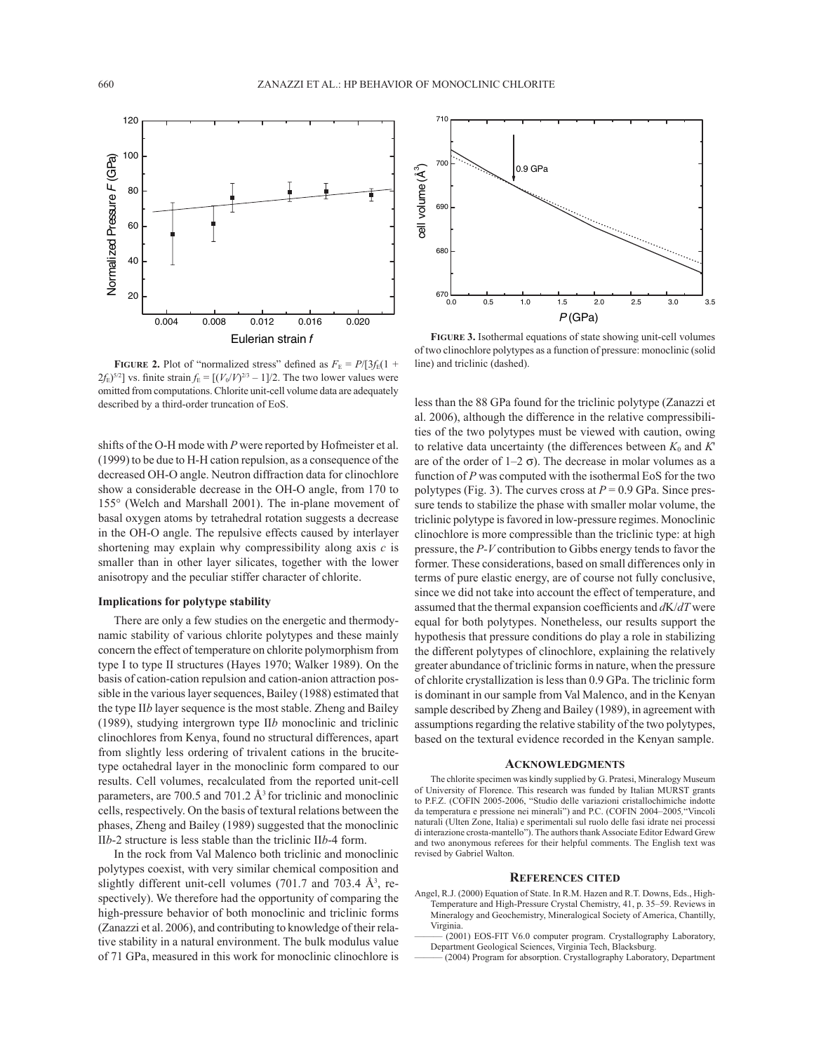

**FIGURE 2.** Plot of "normalized stress" defined as  $F_E = P/[3f_E(1 +$  $2f_{\rm E}$ )<sup>5/2</sup>] vs. finite strain  $f_{\rm E} = [(V_0/V)^{2/3} - 1]/2$ . The two lower values were omitted from computations. Chlorite unit-cell volume data are adequately described by a third-order truncation of EoS.

shifts of the O-H mode with *P* were reported by Hofmeister et al. (1999) to be due to H-H cation repulsion, as a consequence of the decreased OH-O angle. Neutron diffraction data for clinochlore show a considerable decrease in the OH-O angle, from 170 to 155° (Welch and Marshall 2001). The in-plane movement of basal oxygen atoms by tetrahedral rotation suggests a decrease in the OH-O angle. The repulsive effects caused by interlayer shortening may explain why compressibility along axis *c* is smaller than in other layer silicates, together with the lower anisotropy and the peculiar stiffer character of chlorite.

#### **Implications for polytype stability**

There are only a few studies on the energetic and thermodynamic stability of various chlorite polytypes and these mainly concern the effect of temperature on chlorite polymorphism from type I to type II structures (Hayes 1970; Walker 1989). On the basis of cation-cation repulsion and cation-anion attraction possible in the various layer sequences, Bailey (1988) estimated that the type II*b* layer sequence is the most stable. Zheng and Bailey (1989), studying intergrown type II*b* monoclinic and triclinic clinochlores from Kenya, found no structural differences, apart from slightly less ordering of trivalent cations in the brucitetype octahedral layer in the monoclinic form compared to our results. Cell volumes, recalculated from the reported unit-cell parameters, are 700.5 and 701.2  $\AA$ <sup>3</sup> for triclinic and monoclinic cells, respectively. On the basis of textural relations between the phases, Zheng and Bailey (1989) suggested that the monoclinic II*b*-2 structure is less stable than the triclinic II*b*-4 form.

In the rock from Val Malenco both triclinic and monoclinic polytypes coexist, with very similar chemical composition and slightly different unit-cell volumes  $(701.7 \text{ and } 703.4 \text{ Å}^3, \text{re-}$ spectively). We therefore had the opportunity of comparing the high-pressure behavior of both monoclinic and triclinic forms (Zanazzi et al. 2006), and contributing to knowledge of their relative stability in a natural environment. The bulk modulus value of 71 GPa, measured in this work for monoclinic clinochlore is



**FIGURE 3.** Isothermal equations of state showing unit-cell volumes of two clinochlore polytypes as a function of pressure: monoclinic (solid line) and triclinic (dashed).

less than the 88 GPa found for the triclinic polytype (Zanazzi et al. 2006), although the difference in the relative compressibilities of the two polytypes must be viewed with caution, owing to relative data uncertainty (the differences between  $K_0$  and  $K'$ are of the order of  $1-2\sigma$ ). The decrease in molar volumes as a function of *P* was computed with the isothermal EoS for the two polytypes (Fig. 3). The curves cross at  $P = 0.9$  GPa. Since pressure tends to stabilize the phase with smaller molar volume, the triclinic polytype is favored in low-pressure regimes. Monoclinic clinochlore is more compressible than the triclinic type: at high pressure, the *P-V* contribution to Gibbs energy tends to favor the former. These considerations, based on small differences only in terms of pure elastic energy, are of course not fully conclusive, since we did not take into account the effect of temperature, and assumed that the thermal expansion coefficients and  $dK/dT$  were equal for both polytypes. Nonetheless, our results support the hypothesis that pressure conditions do play a role in stabilizing the different polytypes of clinochlore, explaining the relatively greater abundance of triclinic forms in nature, when the pressure of chlorite crystallization is less than 0.9 GPa. The triclinic form is dominant in our sample from Val Malenco, and in the Kenyan sample described by Zheng and Bailey (1989), in agreement with assumptions regarding the relative stability of the two polytypes, based on the textural evidence recorded in the Kenyan sample.

#### **ACKNOWLEDGMENTS**

The chlorite specimen was kindly supplied by G. Pratesi, Mineralogy Museum of University of Florence. This research was funded by Italian MURST grants to P.F.Z. (COFIN 2005-2006, "Studio delle variazioni cristallochimiche indotte da temperatura e pressione nei minerali") and P.C. (COFIN 2004-2005, "Vincoli naturali (Ulten Zone, Italia) e sperimentali sul ruolo delle fasi idrate nei processi di interazione crosta-mantelloî). The authors thank Associate Editor Edward Grew and two anonymous referees for their helpful comments. The English text was revised by Gabriel Walton.

#### **REFERENCES CITED**

- Angel, R.J. (2000) Equation of State. In R.M. Hazen and R.T. Downs, Eds., High-Temperature and High-Pressure Crystal Chemistry, 41, p. 35-59. Reviews in Mineralogy and Geochemistry, Mineralogical Society of America, Chantilly, Virginia.
- (2001) EOS-FIT V6.0 computer program. Crystallography Laboratory, Department Geological Sciences, Virginia Tech, Blacksburg.
- (2004) Program for absorption. Crystallography Laboratory, Department